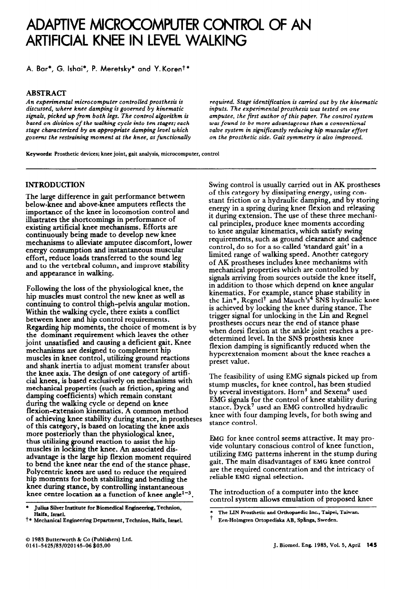# **ADAPTIVE MlCROCOMfUTER CONTROL OF AN ARTIFICIAL KNEE IN LEVEL WALKING**

**A. Bar\*, G. Ishai\*, P. Meretsky\* and Y.Korent\*** 

# **ABSTRACT**

*An experimental microcomputer controlled prosthesis is discussed, where knee* **damping is** *governed by* **kinematic signals,** *picked up from both legs. The control algorithm is based on division of the* **walking** *cycle* **into** *ten stages; each stage characterized by an appropriate damping level which governs the* **restraining** *moment at the knee, as functionally*  *required. Stage identification* **is carried** *out by the kinematic inputs. The experimental prosthesis was tested on one amputee, the first author of this paper. The control system was found to be more advantageous than a conventional valve system in significantly reducing hip muscular effort on the prosthetic* **side.** *Gait symmetry* **is** *also improved.* 

**Keywords: Prosthetic devices; knee joint, gait analysis, microcomputer, control** 

# **INTRODUCTION**

The large difference in gait performance between below-knee and above-knee amputees reflects the importance of the knee in locomotion control and illustrates the shortcomings in performance of existing artificial knee mechanisms. Efforts are continuously being made to develop new knee mechanisms to alleviate amputee discomfort, lower energy consumption and instantaneous muscular effort, reduce loads transferred to the sound leg and to the vertebral column, and improve stability and appearance in walking.

Following the loss of the physiological knee, the hip muscles must control the new knee as well as continuing to control thigh-pelvis angular motion. Within the waking cycle, there exists a conflict between knee and hip control requirements. Regarding hip moments, the choice of moment is by the dominant requirement which leaves the other joint unsatisfied and causing a deficient gait. Knee mechanisms are designed to complement hip muscles in knee control, utilizing ground reactions and shank inertia to adjust moment transfer about the knee axis. The design of one category of artificial knees, is based exclusively on mechanisms with mechanical properties (such as friction, spring and damping coefficients) which remain constant during the walking cycle or depend on knee flexion-extension kinematics. A common method of achieving knee stability during stance, in prostheses of this category, is based on locating the knee axis more posteriorly than the physiological knee, thus utilizing ground reaction to assist the hip muscles in locking the knee. An associated disadvantage is the large hip flexion moment required to bend the knee near the end of the stance phase. Polycentric knees are used to reduce **the** required hip moments for both stabilizing and bending the knee during stance, by controlling instantaneous knee centre location as a function of knee angle<sup>1-3</sup>.

\* **Julius Silver Institute for Biomedical Engineering, Technion, Haifa, Israel.** 

Swing control is usually carried out in AK prostheses of this category by dissipating energy, using constant friction or a hydraulic damping, and by storing energy in a spring during knee flexion and releasing it during extension. The use of these three mechanical principles, produce knee moments according to knee angular kinematics, which satisfy swing requirements, such as ground clearance and cadence control, do so for a so-called 'standard gait' in a limited range of walking speed. Another category of AK prostheses includes knee mechanisms with mechanical properties which are controlled by signals arriving from sources outside the knee itself, in addition to those which depend on knee angular kinematics. For example, stance phase stability in the Lin\*, Regnel<sup>†</sup> and Mauch's<sup>4</sup> SNS hydraulic knee is achieved by locking the knee during stance. The trigger signal for unlocking in the Lin and Regnel prostheses occurs near the end of stance phase when dorsi flexion at the ankle joint reaches a predetermined level. In the SNS prosthesis knee flexion damping is significantly reduced when the hyperextension moment about the knee reaches a preset value.

The feasibility of using EMG signals picked up from stump muscles, for knee control, has been studied by several investigators. Horn<sup>5</sup> and Sexena<sup>6</sup> used EMG signals for the control of knee stability during stance. Dyck' used an EMG controlled hydraulic knee with four damping levels, for both swing and stance control.

EMG for knee control seems attractive. It may provide voluntary conscious control of knee function, utilizing **EMG** patterns inherent in the stump during gait, The main disadvantages of EMG knee control are the required concentration and the intricacy of reliable **EMG** signal selection.

The introduction of a computer into the knee control system allows emulation of proposed knee

**t \* Mechanical Engineering Department, Technion, Haifa, Israel.** 

<sup>\*</sup>  The LIN Prosthetic and Orthopaedic Inc., Taipei, Taiwan.

t **Een-Holmgren Ortopediska AB, Sp%nga, Sweden.**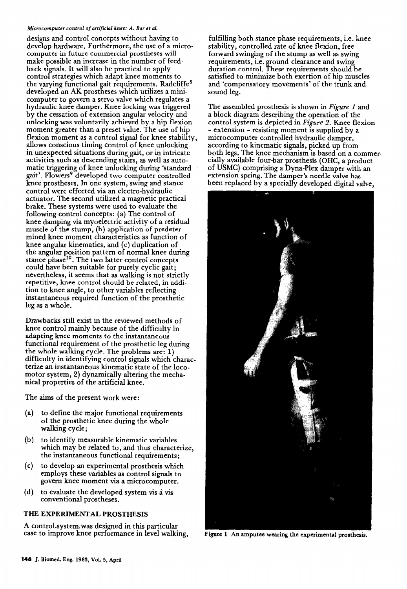### **Microcomputer** *control of* artificial *knee: A. Bar et al.*

designs and control concepts without having to develop hardware. Furthermore, the use of a microcomputer in future commercial prostheses will make possible an increase in the number of feedback signals. It will also be practical to apply control strategies which adapt knee moments to the varying functional gait requirements. Radcliffe<sup>8</sup> developed an AK prostheses which utilizes a minicomputer to govern a servo valve which regulates a hydraulic knee damper. Knee locking was triggered by the cessation of extension angular velocity and unlocking was voluntarily achieved by a hip flexion moment greater than a preset value. The use of hip flexion moment as a control signal for knee stability, allows conscious timing control of knee unlocking in unexpected situations during gait, or in intricate activities such as descending stairs, as well as automatic triggering of knee unlocking during 'standard gait'. Flowers<sup>9</sup> developed two computer controlled knee prostheses. In one system, swing and stance control were effected via an electro-hydraulic actuator. The second utilized a magnetic practical brake. These systems were used to evaluate the following control concepts: (a) The control of knee damping via myoelectric activity of a residual muscle of the stump, (b) application of predetermined knee moment characteristics as function of knee angular kinematics, and (c) duplication of the angular position pattern of normal knee during stance phase<sup>10</sup>. The two latter control concepts could have been suitable for purely cyclic gait; nevertheless, it seems that as walking is not strictly repetitive, knee control should be related, in addition to knee angle, to other variables reflecting instantaneous required function of the prosthetic leg as a whole.

Drawbacks still exist in the reviewed methods of knee control mainly because of the difficulty in adapting knee moments to the instantaneous functional requirement of the prosthetic leg during the whole walking cycle. The problems are: 1) difficulty in identifying control signals which charac terize an instantaneous kinematic state of the locomotor system, 2) dynamically altering the mechanical properties of the artificial knee.

The aims of the present work were:

- (a) to define the major functional requirements of the prosthetic knee during the whole walking cycle;
- (b) to identify measurable kinematic variables which may be related to, and thus characterize, the instantaneous functional requirements;
- (c) to develop an experimental prosthesis which employs these variables as control signals to govern knee moment via a microcomputer.
- (d) to evaluate the developed system vis a vis conventional prostheses.

# THE EXPERIMENTAL PROSTHESIS

A control-system, was designed in this particular case to improve knee performance in level walking,

fulfilling both stance phase requirements, i.e. knee stability, controlled rate of knee flexion, free forward swinging of the stump as well as swing requirements, i.e. ground clearance and swing duration control. These requirements should be satisfied to minimize both exertion of hip muscles and 'compensatory movements' of the trunk and sound leg.

The assembled prosthesis is shown in *Figure 1* and a block diagram describing the operation of the control system is depicted in *Figure 2. Knee* flexion - extension - resisting moment is supplied by a microcomputer controlled hydraulic damper, according to kinematic signals, picked up from both legs. The knee mechanism is based on a commer cially available four-bar prosthesis (OHC, a product of USMC) comprising a Dyna-Plex damper with an extension spring. The damper's needle valve has been replaced by a specially developed digital valve,



Figure **1** An amputee **wearing the experimental prosthesis.**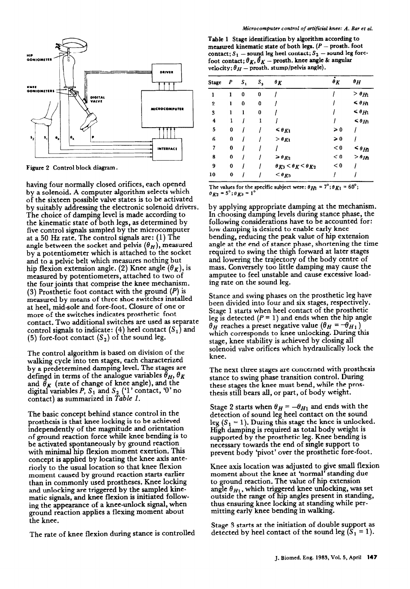

**Figure 2 Control block diagram.** 

having four normally closed orifices, each opened by a solenoid. A computer algorithm selects which of the sixteen possible valve states is to be activated by suitably addressing the electronic solenoid drivers. The choice of damping level is made according to the kinematic state of both legs, as determined by five control signals sampled by the microcomputer at a 50 Hz rate. The control signals are: (1) The angle between the socket and pelvis  $(\theta_H)$ , measured by a potentiometer which is attached to the socket and to a pelvic belt which measures nothing but hip flexion extension angle. (2) Knee angle  $(\theta_K)$ , is measured by potentiometers, attached to two of the four joints that comprise the knee mechanism. (3) Prosthetic foot contact with the ground  $(P)$  is measured by means of three shoe switches installed at heel, mid-sole and fore-foot. Closure of one or more of the switches indicates prosthetic foot contact. Two additional switches are used as separate control signals to indicate: (4) heel contact  $(S_1)$  and (5) fore-foot contact  $(S_2)$  of the sound leg.

The control algorithm is based on division of the walking cycle into ten stages, each characterized by a predetermined damping level. The stages are defined in terms of the analogue variables  $\theta_H$ ,  $\theta_K$ and  $\theta_K$  (rate of change of knee angle), and the digital variables  $P$ ,  $S_1$  and  $S_2$  (1' contact, 0' no contact) as summarized in *Table 1.* 

The basic concept behind stance control in the prosthesis is that knee locking is to be achieved independently of the magnitude and orientation of ground reaction force while knee bending is to be activated spontaneously by ground reaction with minimal hip flexion moment exertion. This concept is applied by locating the knee axis anteriorly to the usual location so that knee flexion moment caused by ground reaction starts earlier than in commonly used prostheses. Knee locking and unlocking are triggered by the sampled kinematic signals, and knee flexion is initiated following the appearance of a knee-unlock signal, when ground reaction applies a flexing moment about the knee.

The rate of knee flexion during stance is controlled

**Table 1 Stage identification by algorithm according to**  measured kinematic state of both legs. (P - prosth. foot contact;  $S_1$  - sound leg heel contact;  $S_2$  - sound leg forefoot contact;  $\theta_K$ ,  $\theta_K$  – prosth. knee angle & angular velocity;  $\theta_H$  - prosth. stump/pelvis angle).

| Stage               | P | $S_{1}$ | $S_{2}$ | $\theta_K$                               | $\theta_K$    | $\theta H$                 |
|---------------------|---|---------|---------|------------------------------------------|---------------|----------------------------|
| 1                   | 1 | 0       | 0       |                                          |               | $> \theta_{H1}$            |
| $\boldsymbol{2}$    | 1 | 0       | 0       |                                          |               | $\leq \theta_{H1}$         |
| 3                   | 1 | 1       | 0       |                                          |               | $\leq \theta_{H1}$         |
| $\ddot{\textbf{4}}$ | 1 |         | ı       |                                          |               | $\leq \theta_{H1}$         |
| 5                   | 0 |         |         | $\leq \theta_{K1}$                       | $\geqslant 0$ |                            |
| 6                   | 0 |         |         | $> \theta_{K1}$                          | $\geqslant 0$ |                            |
| 7                   | 0 |         |         |                                          | < 0           | $\lessdot$ $\theta_{H\!2}$ |
| 8                   | 0 |         |         | $\geq \theta_{K2}$                       | < 0           | $> \theta_{H2}$            |
| 9                   | 0 |         |         | $\theta_{K3} < \theta_{K} < \theta_{K2}$ | < 0           |                            |
| 10                  | 0 |         |         | $<$ $\theta_{K3}$                        |               |                            |

The values for the specific subject were:  $\theta_{H1} = 7^{\circ}$ ;  $\theta_{K1} = 60^{\circ}$ ;  $\theta_{K2}$  = 5°;  $\theta_{K3}$  = 1'

by applying appropriate damping at the mechanism. In choosing damping levels during stance phase, the following considerations have to be accounted for: low damping is desired to enable early knee bending, reducing the peak value of hip extension angle at the end of stance phase, shortening the time required to swing the thigh forward at later stages and lowering the trajectory of the body centre of mass. Conversely too little damping may cause the amputee to feel unstable and cause excessive loading rate on the sound leg.

Stance and swing phases on the prosthetic leg have been divided into four and six stages, respectively. Stage 1 starts when heel contact of the prosthetic leg is detected  $(P = 1)$  and ends when the hip angle  $\theta_H$  reaches a preset negative value  $(\theta_H = -\theta_{H_1})$ which corresponds to knee unlocking. During this stage, knee stability is achieved by closing all solenoid valve orifices which hydraulically lock the knee.

The next three stages are concerned with prosthesis stance to swing phase transition control. During these stages the knee must bend, while the prosthesis still bears all, or part, of body weight.

Stage 2 starts when  $\theta_H = -\theta_{H_1}$  and ends with the detection of sound leg heel contact on the sound leg  $(S_1 = 1)$ . During this stage the knee is unlocked. High damping is required as total body weight is supported by the prosthetic leg. Knee bending is necessary towards the end of smgle support to prevent body 'pivot' over the prosthetic fore-foot.

Knee axis location was adjusted to give small flexion moment about the knee at 'normal' standing due to ground reaction. The value of hip extension angle  $\theta_{H1}$ , which triggered knee unlocking, was set outside the range of hip angles present in standing, thus ensuring knee locking at standing while permitting early knee bending in walking.

Stage 3 starts at the initiation of double support as detected by heel contact of the sound leg  $(S_1 = 1)$ .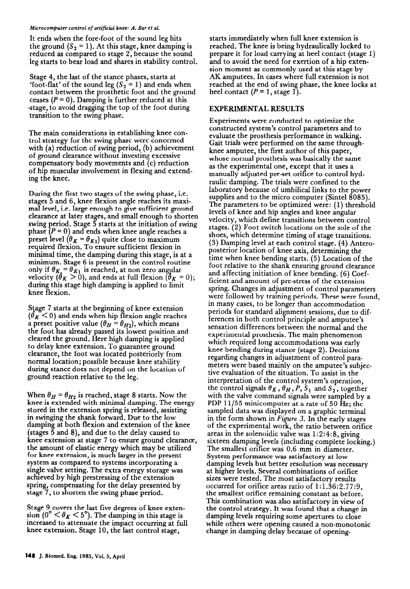### *Microcomputer control of* **artificial** *knee: A. Bar et al.*

It ends when the fore-foot of the sound leg hits the ground  $(S_2 = 1)$ . At this stage, knee damping is reduced as compared to stage 2, because the sound leg starts to bear load and shares in stability control.

Stage 4, the last of the stance phases, starts at 'foot-flat' of the sound leg  $(S_2 = 1)$  and ends when contact between the prosthetic foot and the ground ceases  $(P = 0)$ . Damping is further reduced at this -stage, to avoid dragging the top of the foot during transition to the swing phase.

The main considerations in establishing knee control strategy for the swing phase were concerned with (a) reduction of swing period, (b) achievement of ground clearance without investing excessive compensatory body movements and (c) reduction of hip muscular involvement in flexing and extending the knee.

During the first two stages of the swing phase, i.e. stages 5 and 6, knee flexion angle reaches its maximal level, i.e. large enough to give sufficient ground clearance at later stages, and small enough to shorten swing period. Stage 5 starts at the initiation of swing phase  $(P = 0)$  and ends when knee angle reaches a preset level  $(\theta_K = \theta_{K1})$  quite close to maximum required flexion. To ensure sufficient flexion in minimal time, the damping during this stage, is at a minimum. Stage 6 is present in the control routine **Only if**  $\sigma_{K_2} = \sigma_{K_1}$  **is reached, at non zero angular** velocity ( $\theta_K > 0$ ), and ends at full flexion ( $\theta_K = 0$ ); during this stage high damping is applied to limit knee flexion.

Stage 7 starts at the beginning of knee extension  $(\theta_K < 0)$  and ends when hip flexion angle reaches a preset positive value ( $\theta_H = \theta_{H2}$ ), which means the foot has already passed its lowest position and cleared the ground. Here high damping is applied to delay knee extension. To guarantee ground clearance, the foot was located posteriorly from normal location; possible because knee stability during stance does not depend on the location of ground reaction relative to the leg.

When  $\theta_H = \theta_{H2}$  is reached, stage 8 starts. Now the knee is extended with minimal damping. The energy stored in the extension spring is released, assisting in swinging the shank forward. Due to the low damping at both flexion and extension of the knee (stages 5 and 8), and due to the delay caused to knee extension at stage  $7$  to ensure ground clearance, the amount of elastic energy which may be utilized tor knee extension, is much larger in the present system as compared to systems incorporating a single valve setting. The extra energy storage was achieved by high prestressing of the extension spring, compensating for the delay presented by stage 7, to shorten the swing phase period.

Stage 9 covers the last five degrees of knee extension (0°  $< \theta_K < 5$ °). The damping in this stage is increased to attenuate the impact occurring at full knee extension. Stage 10, the last control stage,

starts immediately when full knee extension is reached. The knee is being hydraulically locked to prepare it for load carrying at heel contact (stage 1) and to avoid the need for exertion of a hip extension moment as commonly used at this stage by AK amputees. In cases where full extension is not reached at the end of swing phase, the knee locks at heel contact  $(P = 1, \text{stage } 1)$ .

# EXPERIMENTAL RESULTS

Experiments were conducted to optimize the constructed system's control parameters and to evaluate the prosthesis performance in walking. Gait trials were performed on the same throughknee amputee, the first author of this paper, whose normal prosthesis was basically the same as the experimental one, except that it uses a manually adjusted pre-set orifice to control hydraulic damping. The trials were confined to the laboratory because of umbilical links to the power supplies and to the micro computer (Sintel 8085). The parameters to be optimized were: (1) threshold levels of knee and hip angles and knee angular velocity, which define transitions between control stages. (2) Foot switch locations on the sole of the shoes, which determine timing of stage transitions. (3) Damping level at each control stage. (4) Anteroposterior location of knee axis, determining the time when knee bending starts. (5) Location of the foot relative to the shank ensuring ground clearance and affecting initiation of knee bending. (6) Coefficient and amount of pre-stress of the extension spring. Changes in adjustment of control parameters were followed by training periods. These were found, in many cases, to be longer than accommodation periods for standard alignment sessions, due to differences in both control principle and amputee's sensation differences between the normal and the experimental prosthesis. The main phenomenon which required long accommodations was early knee bending during stance (stage 2). Decisions regarding changes in adjustment of control parameters were based mainly on the amputee's subjective evaluation of the situation. To assist in the interpretation of the control system's operation, the control signals  $\theta_K$ ,  $\theta_H$ , P, S<sub>1</sub> and S<sub>2</sub>, together with the valve command signals were sampled by a PDP 11/55 minicomputer at a rate of 50 Hz; the sampled data was displayed on a graphic terminal in the form shown in *Figure* 3. In the early stages of the experimental work, the ratio between orifice areas in the solenoidic valve was 1:2:4:8, giving sixteen damping levels (including complete locking.) The smallest orifice was 0.6 mm in diameter. System performance was satisfactory at low damping levels but better resolution was necessary at higher levels. Several combinations of orifice sizes were tested. The most satisfactory results occurred for orifice areas ratio of 1:1.36:2.77:9, the smallest orifice remaining constant as before. This combination was also satisfactory in view of the control strategy. It was found that a change in damping levels requiring some apertures to close while others were opening caused a non-monotonic change in damping delay because of opening-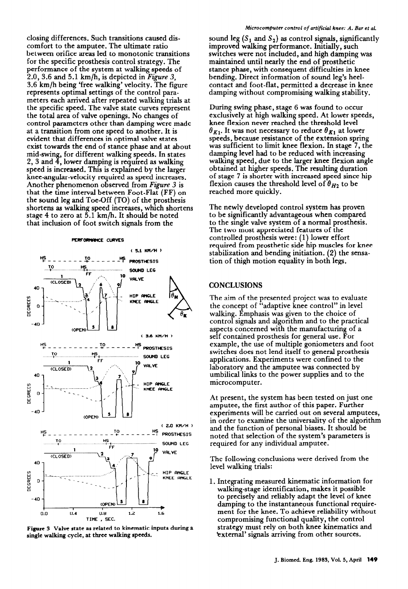closing differences. Such transitions caused discomfort to the amputee. The ultimate ratio between orifice areas led to monotonic transitions for the specific prosthesis control strategy. The performance of the system at walking speeds of 2.0, 3.6 and 5.1 km/h, is depicted in *Figure 3, 3.6* km/h being 'free walking' velocity. The figure represents optimal settings of the control parameters each arrived after repeated walking trials at the specific speed. The valve state curves represent the total area of valve openings. No changes of control parameters other than damping were made at a transition from one speed to another. It is evident that differences in optimal valve states exist towards the end of stance phase and at about mid-swing, for different walking speeds. In states 2, 3 and  $\bar{4}$ , lower damping is required as walking speed is increased. This is explamed by the larger knee-angular-velocity required as speed increases. Another phenomenon observed from *Figure 3* is that the time interval between Foot-Flat (FF) on the sound leg and Toe-Off (TO) of the prosthesis shortens as walking speed increases, which shortens stage 4 to zero at  $5.1$  km/h. It should be noted that inclusion of foot switch signals from the

**PEXFORHWCE CURVES** 

#### ( 5.1 Kn/H ) rf\_\_\_\_\_\_\_y- \_ \_ \_ --9 PRosTnEsIs **TO ,. .** (\_ **. . !XllND LEG ?\_**  10 **VALVE (CLOSED)** د ا ۰l 40 HIP ANGLE DEGREES KNEE ANGLE  $\Omega$  $-40$ (OPEN) ( 3.6 **KM/H ) I-IS TO HS ~----\_-----+\_----\_-\_, -TM-IS ..\_\_\_. T,c \_.\_.............\_\_\_\_.\_\_\_\_\_ !j?! ,......-....................... -D LEG**  <sup>1</sup>**FF**  10 **VALVE**  $\times$  CLOSED) ا ہ 40 **;'**  HIP ANGLE DEGREES KNEE Wi6LE  $\mathbf 0$ -40 (OPEN) ( **2.0 Ktl/H t**   $H^0$   $\rightarrow$   $\rightarrow$   $\rightarrow$   $\rightarrow$   $\rightarrow$   $H^0$  **PROSTHESIS \_y! HS SOUND LEG** 10 **VALVE** (CLOSED)  $\bullet$ 40 HIP ANGLE DEGREE KNEE ANGLE O  $-40$ (OPEN) 0:o **0:s 1:2 I:6 TIME , SEC.**

**Figure 3 Valve state as related to kinematic inputs during a single walking cycle, at three walking speeds.** 

### *Microcomputer control of artificial knee: A. Bar et al.*

sound leg  $(S_1 \text{ and } S_2)$  as control signals, significantly improved walking performance. Initially, such switches were not included, and high damping was maintained until nearly the end of prosthetic stance phase, with consequent difficulties in knee bending. Direct information of sound leg's heelcontact and foot-flat, permitted a decrease in knee damping without compromising walking stability.

During swing phase, stage 6 was found to occur exclusively at high walking speed. At lower speeds, knee flexion never reached the threshold level  $\theta_{K1}$ . It was not necessary to reduce  $\theta_{K1}$  at lower speeds, because resistance of the extension spring was sufficient to limit knee flexion. In stage 7, the damping level had to be reduced with increasing walking speed, due to the larger knee flexion angle obtained at higher speeds. The resulting duration of stage 7 is shorter with increased speed since hip flexion causes the threshold level of  $\theta_{H2}$  to be reached more quickly.

The newly developed control system has proven to be significantly advantageous when compared to the single valve system of a normal prosthesis. The two most appreciated features of the controlled prosthesis were: (1) lower effort required from prosthetic side hip muscles for knee stabilization and bending initiation. (2) the sensation of thigh motion equality in both legs.

# **CONCLUSIONS**

The aim of the presented project was to evaluate the concept of "adaptive knee control" in level walking. Emphasis was given to the choice of control signals and algorithm and to the practical aspects concerned with the manufacturing of a self contained prosthesis for general use. For example, the use of multiple goniometers and foot switches does not lend itself to general prosthesis applications. Experiments were confined to the laboratory and the amputee was connected by umbilical links to the power supplies and to the microcomputer.

At present, the system has been tested on just one amputee, the first author of this paper. Further experiments will be carried out on several amputees, in order to examine the universality of the algorithm and the function of personal biases. It should be noted that selection of the system's parameters is required for any individual amputee.

The following conclusions were derived from the level walking trials:

1. Integrating measured kinematic information for walking-stage identification, makes it possible to precisely and reliably adapt the level of knee damping to the instantaneous functional requirement for the knee. To achieve reliability without compromising functional quality, the control strategy must rely on both knee kinematics and 'external' signals arriving from other sources.